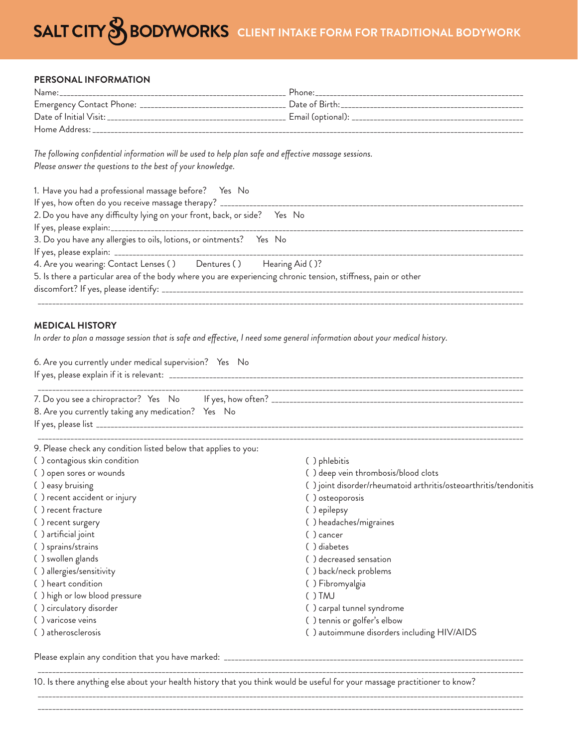# **SALT CITY & BODYWORKS** CLIENT INTAKE FORM FOR TRADITIONAL BODYWORK

#### **PERSONAL INFORMATION**

| Name:                                             | Phone:                                |
|---------------------------------------------------|---------------------------------------|
| Emergency Contact Phone: ________________________ | Date of Birth: The Contract of Birth: |
| Date of Initial Visit:                            |                                       |
| Home Address:                                     |                                       |

The following confidential information will be used to help plan safe and effective massage sessions. *Please answer the questions to the best of your knowledge.*

| 1. Have you had a professional massage before? Yes No                                                          |  |  |
|----------------------------------------------------------------------------------------------------------------|--|--|
|                                                                                                                |  |  |
| 2. Do you have any difficulty lying on your front, back, or side? Yes No                                       |  |  |
|                                                                                                                |  |  |
| 3. Do you have any allergies to oils, lotions, or ointments? Yes No                                            |  |  |
|                                                                                                                |  |  |
| 4. Are you wearing: Contact Lenses () Dentures () Hearing Aid ()?                                              |  |  |
| 5. Is there a particular area of the body where you are experiencing chronic tension, stiffness, pain or other |  |  |
|                                                                                                                |  |  |
|                                                                                                                |  |  |

#### **MEDICAL HISTORY**

In order to plan a massage session that is safe and effective, I need some general information about your medical history.

| 6. Are you currently under medical supervision? Yes No          |                                                                  |  |
|-----------------------------------------------------------------|------------------------------------------------------------------|--|
| 8. Are you currently taking any medication? Yes No              |                                                                  |  |
| 9. Please check any condition listed below that applies to you: |                                                                  |  |
| () contagious skin condition                                    | () phlebitis                                                     |  |
| () open sores or wounds                                         | () deep vein thrombosis/blood clots                              |  |
| () easy bruising                                                | () joint disorder/rheumatoid arthritis/osteoarthritis/tendonitis |  |
| () recent accident or injury                                    | () osteoporosis                                                  |  |
| () recent fracture                                              | () epilepsy                                                      |  |
| () recent surgery                                               | () headaches/migraines                                           |  |
| () artificial joint                                             | () cancer                                                        |  |
| () sprains/strains                                              | () diabetes                                                      |  |
| () swollen glands                                               | () decreased sensation                                           |  |
| () allergies/sensitivity                                        | () back/neck problems                                            |  |
| () heart condition                                              | () Fibromyalgia                                                  |  |
| () high or low blood pressure                                   | ( )TMJ                                                           |  |
| () circulatory disorder                                         | () carpal tunnel syndrome                                        |  |
| () varicose veins                                               | () tennis or golfer's elbow                                      |  |
| () atherosclerosis                                              | () autoimmune disorders including HIV/AIDS                       |  |
|                                                                 |                                                                  |  |

10. Is there anything else about your health history that you think would be useful for your massage practitioner to know?

\_\_\_\_\_\_\_\_\_\_\_\_\_\_\_\_\_\_\_\_\_\_\_\_\_\_\_\_\_\_\_\_\_\_\_\_\_\_\_\_\_\_\_\_\_\_\_\_\_\_\_\_\_\_\_\_\_\_\_\_\_\_\_\_\_\_\_\_\_\_\_\_\_\_\_\_\_\_\_\_\_\_\_\_\_\_\_\_\_\_\_\_\_\_\_\_\_\_\_\_\_\_\_\_\_\_\_\_\_\_\_\_\_\_\_\_\_\_\_\_\_\_\_\_\_\_\_\_\_\_\_\_\_ \_\_\_\_\_\_\_\_\_\_\_\_\_\_\_\_\_\_\_\_\_\_\_\_\_\_\_\_\_\_\_\_\_\_\_\_\_\_\_\_\_\_\_\_\_\_\_\_\_\_\_\_\_\_\_\_\_\_\_\_\_\_\_\_\_\_\_\_\_\_\_\_\_\_\_\_\_\_\_\_\_\_\_\_\_\_\_\_\_\_\_\_\_\_\_\_\_\_\_\_\_\_\_\_\_\_\_\_\_\_\_\_\_\_\_\_\_\_\_\_\_\_\_\_\_\_\_\_\_\_\_\_\_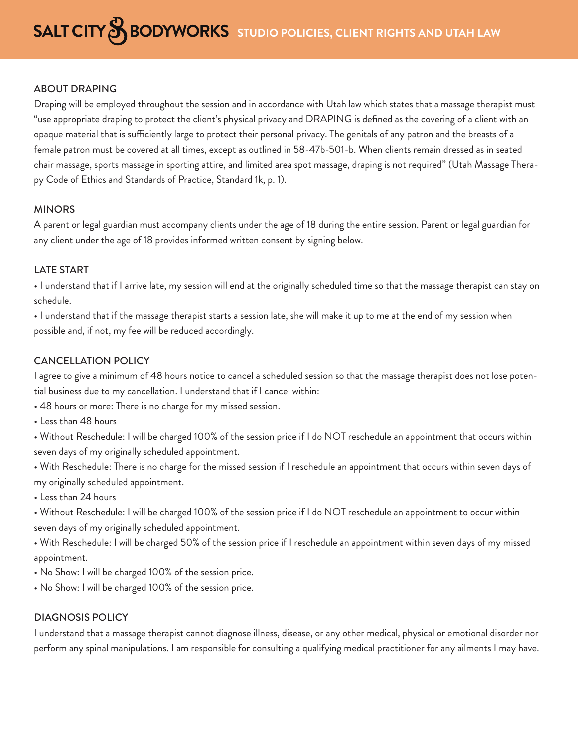## ABOUT DRAPING

Draping will be employed throughout the session and in accordance with Utah law which states that a massage therapist must "use appropriate draping to protect the client's physical privacy and DRAPING is defined as the covering of a client with an opaque material that is sufficiently large to protect their personal privacy. The genitals of any patron and the breasts of a female patron must be covered at all times, except as outlined in 58-47b-501-b. When clients remain dressed as in seated chair massage, sports massage in sporting attire, and limited area spot massage, draping is not required" (Utah Massage Therapy Code of Ethics and Standards of Practice, Standard 1k, p. 1).

## MINORS

A parent or legal guardian must accompany clients under the age of 18 during the entire session. Parent or legal guardian for any client under the age of 18 provides informed written consent by signing below.

## LATE START

• I understand that if I arrive late, my session will end at the originally scheduled time so that the massage therapist can stay on schedule.

• I understand that if the massage therapist starts a session late, she will make it up to me at the end of my session when possible and, if not, my fee will be reduced accordingly.

# CANCELLATION POLICY

I agree to give a minimum of 48 hours notice to cancel a scheduled session so that the massage therapist does not lose potential business due to my cancellation. I understand that if I cancel within:

• 48 hours or more: There is no charge for my missed session.

• Less than 48 hours

• Without Reschedule: I will be charged 100% of the session price if I do NOT reschedule an appointment that occurs within seven days of my originally scheduled appointment.

• With Reschedule: There is no charge for the missed session if I reschedule an appointment that occurs within seven days of my originally scheduled appointment.

• Less than 24 hours

• Without Reschedule: I will be charged 100% of the session price if I do NOT reschedule an appointment to occur within seven days of my originally scheduled appointment.

• With Reschedule: I will be charged 50% of the session price if I reschedule an appointment within seven days of my missed appointment.

- No Show: I will be charged 100% of the session price.
- No Show: I will be charged 100% of the session price.

# DIAGNOSIS POLICY

I understand that a massage therapist cannot diagnose illness, disease, or any other medical, physical or emotional disorder nor perform any spinal manipulations. I am responsible for consulting a qualifying medical practitioner for any ailments I may have.